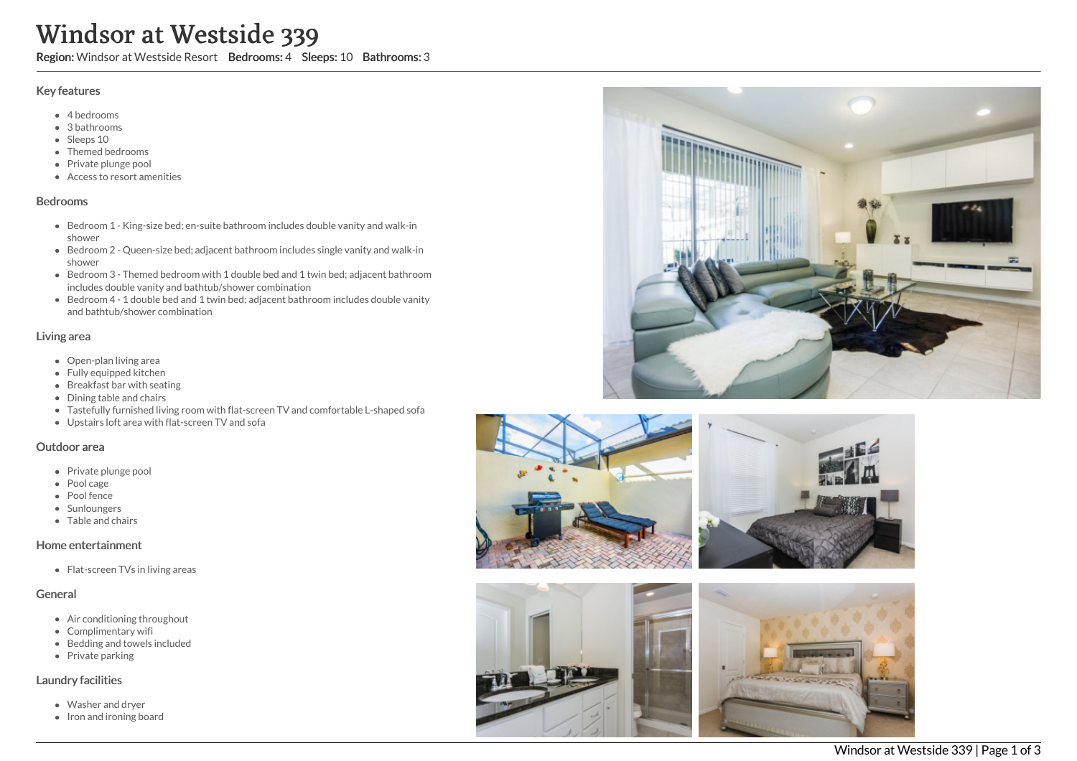# Windsor at Westside 339

Region: Windsor at Westside Resort Bedrooms: 4 Sleeps: 10 Bathrooms: 3

#### Key features

- 4 bedrooms
- 3 bathrooms
- Sleeps 10
- Themed bedrooms
- Private plunge pool
- Access to resort amenities

#### Bedrooms

- Bedroom 1 King-size bed; en-suite bathroom includes double vanity and walk-in shower
- Bedroom 2 Queen-size bed; adjacent bathroom includes single vanity and walk-in shower
- Bedroom 3 Themed bedroom with 1 double bed and 1 twin bed; adjacent bathroom includes double vanity and bathtub/shower combination
- Bedroom 4 1 double bed and 1 twin bed; adjacent bathroom includes double vanity and bathtub/shower combination

#### Living area

- Open-plan living area
- Fully equipped kitchen
- Breakfast bar with seating
- Dining table and chairs
- Tastefully furnished living room with flat-screen TV and comfortable L-shaped sofa
- Upstairs loft area with flat-screen TV and sofa

#### Outdoor area

- Private plunge pool
- Pool cage
- Pool fence
- Sunloungers
- Table and chairs

#### Home entertainment

• Flat-screen TVs in living areas

#### General

- Air conditioning throughout
- Complimentary wifi
- Bedding and towels included
- Private parking

#### Laundry facilities

- Washer and dryer
- Iron and ironing board







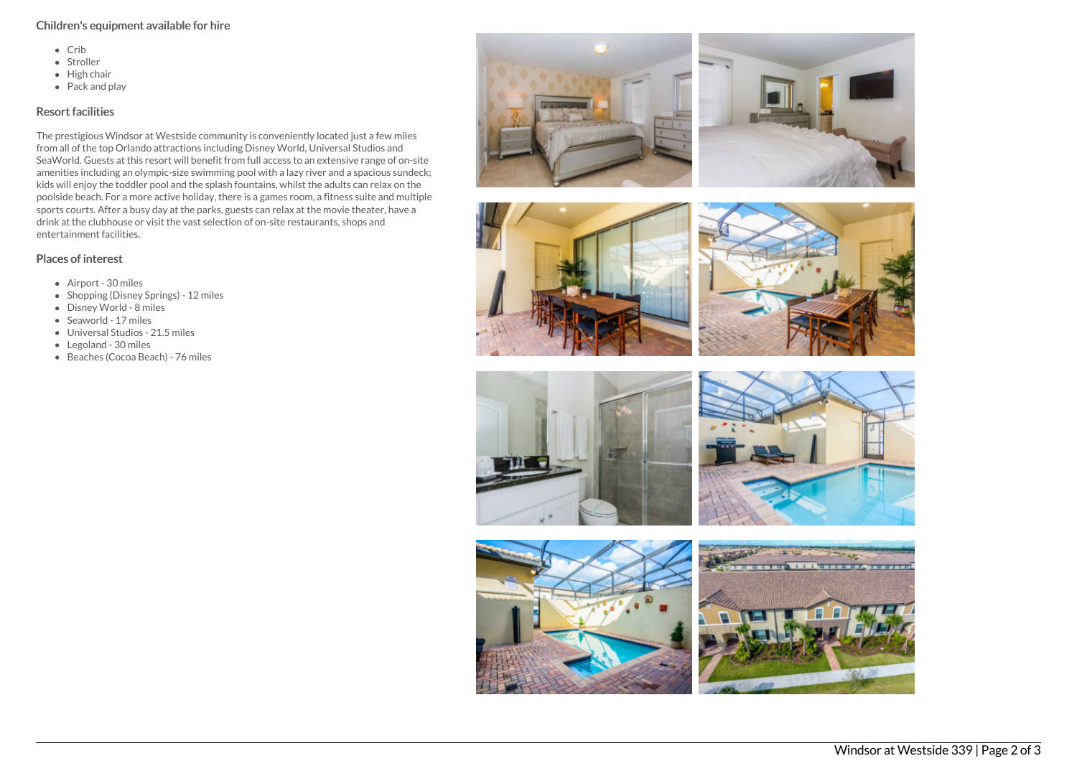#### Children's equipment available for hire

- $\bullet$  Crib
- Stroller
- $\bullet$  High chair
- Pack and play

### Resort facilities

The prestigious Windsor at Westside community is conveniently located just a few miles from all of the top Orlando attractions including Disney World, Universal Studios and SeaWorld. Guests at this resort will benefit from full access to an extensive range of on-site amenities including an olympic-size swimming pool with a lazy river and a spacious sundeck; kids will enjoy the toddler pool and the splash fountains, whilst the adults can relax on the poolside beach. For a more active holiday, there is a games room, a fitness suite and multiple sports courts. After a busy day at the parks, guests can relax at the movie theater, have a drink at the clubhouse or visit the vast selection of on-site restaurants, shops and entertainment facilities.

## Places of interest

- Airport 30 miles
- Shopping (Disney Springs) 12 miles
- Disney World 8 miles
- Seaworld 17 miles
- Universal Studios 21.5 miles
- Legoland 30 miles
- Beaches (Cocoa Beach) 76 miles